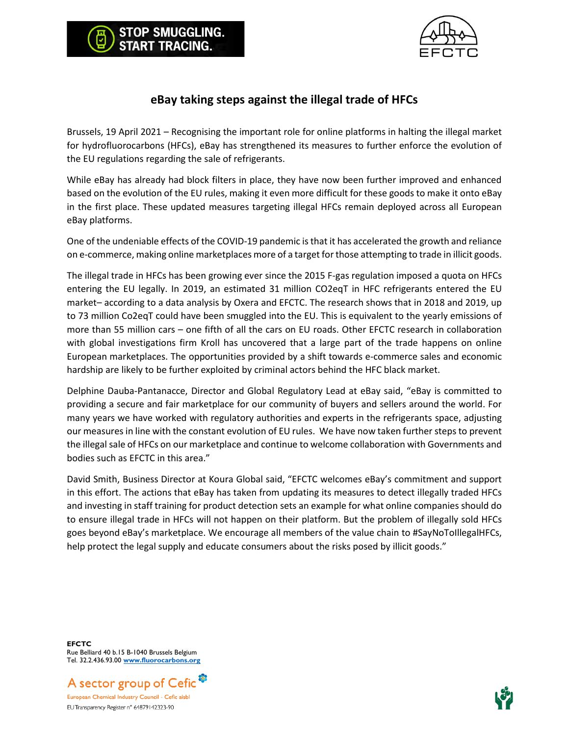

## **eBay taking steps against the illegal trade of HFCs**

P SMUGGLING.

Brussels, 19 April 2021 – Recognising the important role for online platforms in halting the illegal market for hydrofluorocarbons (HFCs), eBay has strengthened its measures to further enforce the evolution of the EU regulations regarding the sale of refrigerants.

While eBay has already had block filters in place, they have now been further improved and enhanced based on the evolution of the EU rules, making it even more difficult for these goods to make it onto eBay in the first place. These updated measures targeting illegal HFCs remain deployed across all European eBay platforms.

One of the undeniable effects of the COVID-19 pandemic is that it has accelerated the growth and reliance on e-commerce, making online marketplaces more of a target for those attempting to trade in illicit goods.

The illegal trade in HFCs has been growing ever since the 2015 F-gas regulation imposed a quota on HFCs entering the EU legally. In 2019, an estimated 31 million CO2eqT in HFC refrigerants entered the EU market– according to a data analysis by Oxera and EFCTC. The research shows that in 2018 and 2019, up to 73 million Co2eqT could have been smuggled into the EU. This is equivalent to the yearly emissions of more than 55 million cars – one fifth of all the cars on EU roads. Other EFCTC research in collaboration with global investigations firm Kroll has uncovered that a large part of the trade happens on online European marketplaces. The opportunities provided by a shift towards e-commerce sales and economic hardship are likely to be further exploited by criminal actors behind the HFC black market.

Delphine Dauba-Pantanacce, Director and Global Regulatory Lead at eBay said, "eBay is committed to providing a secure and fair marketplace for our community of buyers and sellers around the world. For many years we have worked with regulatory authorities and experts in the refrigerants space, adjusting our measures in line with the constant evolution of EU rules. We have now taken further steps to prevent the illegal sale of HFCs on our marketplace and continue to welcome collaboration with Governments and bodies such as EFCTC in this area."

David Smith, Business Director at Koura Global said, "EFCTC welcomes eBay's commitment and support in this effort. The actions that eBay has taken from updating its measures to detect illegally traded HFCs and investing in staff training for product detection sets an example for what online companies should do to ensure illegal trade in HFCs will not happen on their platform. But the problem of illegally sold HFCs goes beyond eBay's marketplace. We encourage all members of the value chain to #SayNoToIllegalHFCs, help protect the legal supply and educate consumers about the risks posed by illicit goods."

**EFCTC** Rue Belliard 40 b.15 B-1040 Brussels Belgium Tel. 32.2.436.93.00 **[www.fluorocarbons.org](http://www.fluorocarbons.org/)**



EU Transparency Register n° 64879142323-90